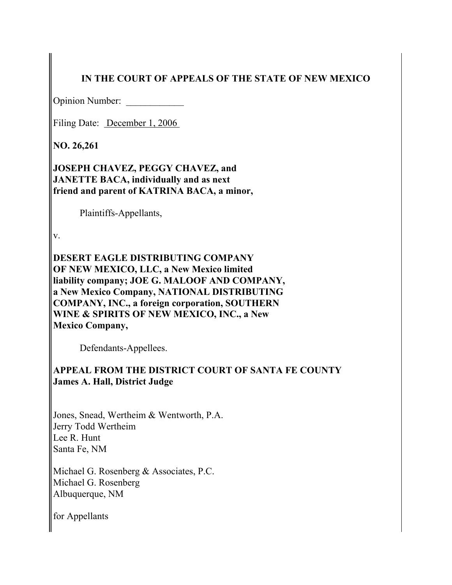# **IN THE COURT OF APPEALS OF THE STATE OF NEW MEXICO**

Opinion Number:

Filing Date: December 1, 2006

**NO. 26,261**

**JOSEPH CHAVEZ, PEGGY CHAVEZ, and JANETTE BACA, individually and as next friend and parent of KATRINA BACA, a minor,**

Plaintiffs-Appellants,

v.

**DESERT EAGLE DISTRIBUTING COMPANY OF NEW MEXICO, LLC, a New Mexico limited liability company; JOE G. MALOOF AND COMPANY, a New Mexico Company, NATIONAL DISTRIBUTING COMPANY, INC., a foreign corporation, SOUTHERN WINE & SPIRITS OF NEW MEXICO, INC., a New Mexico Company,**

Defendants-Appellees.

**APPEAL FROM THE DISTRICT COURT OF SANTA FE COUNTY James A. Hall, District Judge**

Jones, Snead, Wertheim & Wentworth, P.A. Jerry Todd Wertheim Lee R. Hunt Santa Fe, NM

Michael G. Rosenberg & Associates, P.C. Michael G. Rosenberg Albuquerque, NM

for Appellants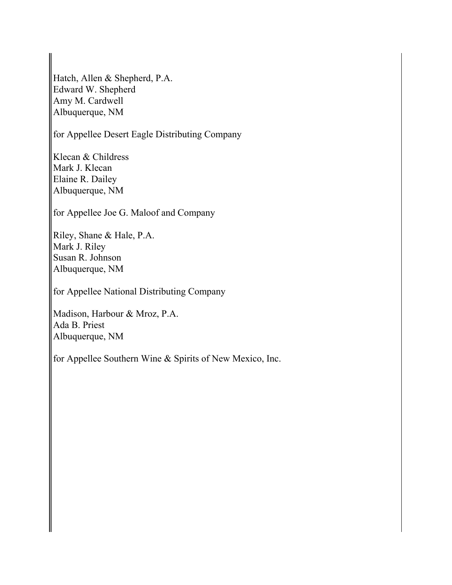Hatch, Allen & Shepherd, P.A. Edward W. Shepherd Amy M. Cardwell Albuquerque, NM

for Appellee Desert Eagle Distributing Company

Klecan & Childress Mark J. Klecan Elaine R. Dailey Albuquerque, NM

for Appellee Joe G. Maloof and Company

Riley, Shane & Hale, P.A. Mark J. Riley Susan R. Johnson Albuquerque, NM

for Appellee National Distributing Company

Madison, Harbour & Mroz, P.A. Ada B. Priest Albuquerque, NM

for Appellee Southern Wine & Spirits of New Mexico, Inc.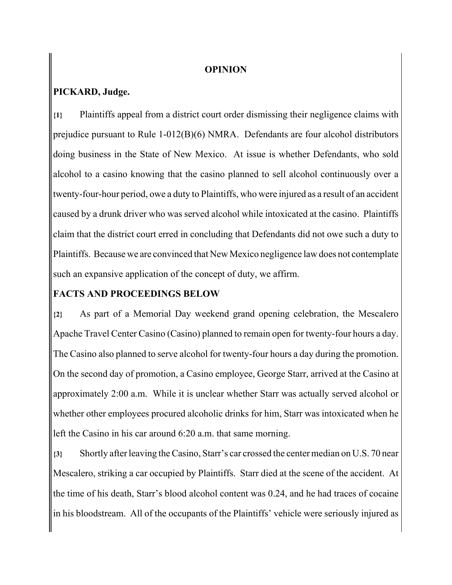#### **OPINION**

## **PICKARD, Judge.**

**{1}** Plaintiffs appeal from a district court order dismissing their negligence claims with prejudice pursuant to Rule 1-012(B)(6) NMRA. Defendants are four alcohol distributors doing business in the State of New Mexico. At issue is whether Defendants, who sold alcohol to a casino knowing that the casino planned to sell alcohol continuously over a twenty-four-hour period, owe a duty to Plaintiffs, who were injured as a result of an accident caused by a drunk driver who was served alcohol while intoxicated at the casino. Plaintiffs claim that the district court erred in concluding that Defendants did not owe such a duty to Plaintiffs. Because we are convinced that New Mexico negligence law does not contemplate such an expansive application of the concept of duty, we affirm.

## **FACTS AND PROCEEDINGS BELOW**

**{2}** As part of a Memorial Day weekend grand opening celebration, the Mescalero Apache Travel Center Casino (Casino) planned to remain open for twenty-four hours a day. The Casino also planned to serve alcohol for twenty-four hours a day during the promotion. On the second day of promotion, a Casino employee, George Starr, arrived at the Casino at approximately 2:00 a.m. While it is unclear whether Starr was actually served alcohol or whether other employees procured alcoholic drinks for him, Starr was intoxicated when he left the Casino in his car around 6:20 a.m. that same morning.

**{3}** Shortly after leaving the Casino, Starr's car crossed the center median on U.S. 70 near Mescalero, striking a car occupied by Plaintiffs. Starr died at the scene of the accident. At the time of his death, Starr's blood alcohol content was 0.24, and he had traces of cocaine in his bloodstream. All of the occupants of the Plaintiffs' vehicle were seriously injured as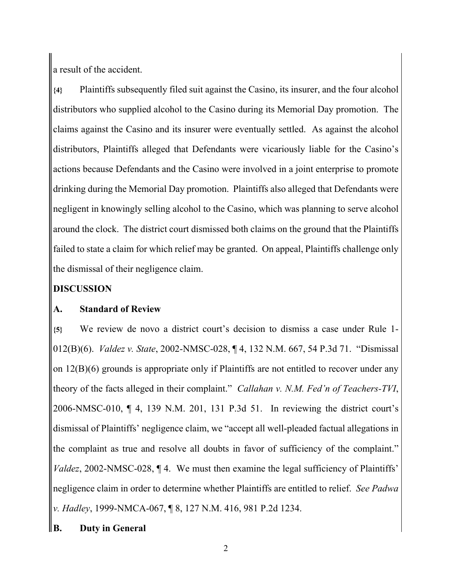a result of the accident.

**{4}** Plaintiffs subsequently filed suit against the Casino, its insurer, and the four alcohol distributors who supplied alcohol to the Casino during its Memorial Day promotion. The claims against the Casino and its insurer were eventually settled. As against the alcohol distributors, Plaintiffs alleged that Defendants were vicariously liable for the Casino's actions because Defendants and the Casino were involved in a joint enterprise to promote drinking during the Memorial Day promotion. Plaintiffs also alleged that Defendants were negligent in knowingly selling alcohol to the Casino, which was planning to serve alcohol around the clock. The district court dismissed both claims on the ground that the Plaintiffs failed to state a claim for which relief may be granted. On appeal, Plaintiffs challenge only the dismissal of their negligence claim.

# **DISCUSSION**

# **A. Standard of Review**

**{5}** We review de novo a district court's decision to dismiss a case under Rule 1- 012(B)(6). *Valdez v. State*, 2002-NMSC-028, ¶ 4, 132 N.M. 667, 54 P.3d 71. "Dismissal on 12(B)(6) grounds is appropriate only if Plaintiffs are not entitled to recover under any theory of the facts alleged in their complaint." *Callahan v. N.M. Fed'n of Teachers-TVI*, 2006-NMSC-010, ¶ 4, 139 N.M. 201, 131 P.3d 51. In reviewing the district court's dismissal of Plaintiffs' negligence claim, we "accept all well-pleaded factual allegations in the complaint as true and resolve all doubts in favor of sufficiency of the complaint." *Valdez*, 2002-NMSC-028, ¶ 4. We must then examine the legal sufficiency of Plaintiffs' negligence claim in order to determine whether Plaintiffs are entitled to relief. *See Padwa v. Hadley*, 1999-NMCA-067, ¶ 8, 127 N.M. 416, 981 P.2d 1234.

# **B. Duty in General**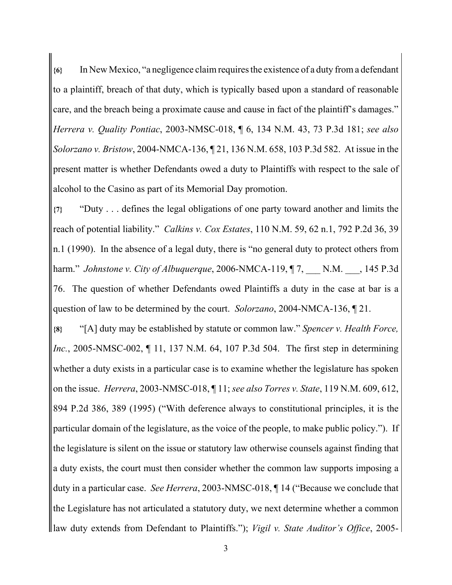**{6}** In New Mexico, "a negligence claim requires the existence of a duty from a defendant to a plaintiff, breach of that duty, which is typically based upon a standard of reasonable care, and the breach being a proximate cause and cause in fact of the plaintiff's damages." *Herrera v. Quality Pontiac*, 2003-NMSC-018, ¶ 6, 134 N.M. 43, 73 P.3d 181; *see also Solorzano v. Bristow*, 2004-NMCA-136, ¶ 21, 136 N.M. 658, 103 P.3d 582. At issue in the present matter is whether Defendants owed a duty to Plaintiffs with respect to the sale of alcohol to the Casino as part of its Memorial Day promotion.

**{7}** "Duty . . . defines the legal obligations of one party toward another and limits the reach of potential liability." *Calkins v. Cox Estates*, 110 N.M. 59, 62 n.1, 792 P.2d 36, 39 n.1 (1990). In the absence of a legal duty, there is "no general duty to protect others from harm." *Johnstone v. City of Albuquerque*, 2006-NMCA-119, ¶ 7, \_\_\_ N.M. \_\_\_, 145 P.3d 76. The question of whether Defendants owed Plaintiffs a duty in the case at bar is a question of law to be determined by the court. *Solorzano*, 2004-NMCA-136, ¶ 21.

**{8}** "[A] duty may be established by statute or common law." *Spencer v. Health Force, Inc.*, 2005-NMSC-002, ¶ 11, 137 N.M. 64, 107 P.3d 504. The first step in determining whether a duty exists in a particular case is to examine whether the legislature has spoken on the issue. *Herrera*, 2003-NMSC-018, ¶ 11; *see also Torres v. State*, 119 N.M. 609, 612, 894 P.2d 386, 389 (1995) ("With deference always to constitutional principles, it is the particular domain of the legislature, as the voice of the people, to make public policy."). If the legislature is silent on the issue or statutory law otherwise counsels against finding that a duty exists, the court must then consider whether the common law supports imposing a duty in a particular case. *See Herrera*, 2003-NMSC-018, ¶ 14 ("Because we conclude that the Legislature has not articulated a statutory duty, we next determine whether a common law duty extends from Defendant to Plaintiffs."); *Vigil v. State Auditor's Office*, 2005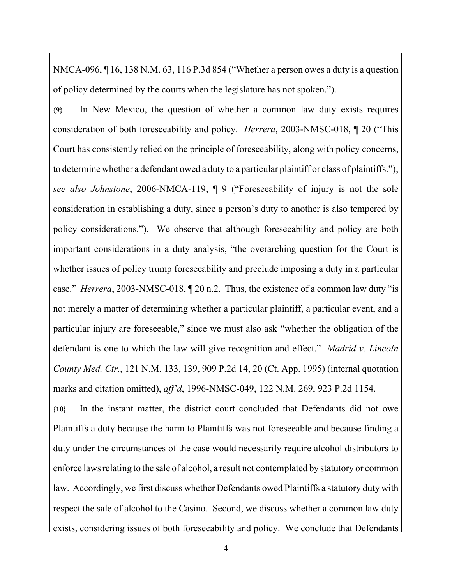NMCA-096, ¶ 16, 138 N.M. 63, 116 P.3d 854 ("Whether a person owes a duty is a question of policy determined by the courts when the legislature has not spoken.").

**{9}** In New Mexico, the question of whether a common law duty exists requires consideration of both foreseeability and policy. *Herrera*, 2003-NMSC-018, ¶ 20 ("This Court has consistently relied on the principle of foreseeability, along with policy concerns, to determine whether a defendant owed a duty to a particular plaintiff or class of plaintiffs."); *see also Johnstone*, 2006-NMCA-119, ¶ 9 ("Foreseeability of injury is not the sole consideration in establishing a duty, since a person's duty to another is also tempered by policy considerations."). We observe that although foreseeability and policy are both important considerations in a duty analysis, "the overarching question for the Court is whether issues of policy trump foreseeability and preclude imposing a duty in a particular case." *Herrera*, 2003-NMSC-018, ¶ 20 n.2. Thus, the existence of a common law duty "is not merely a matter of determining whether a particular plaintiff, a particular event, and a particular injury are foreseeable," since we must also ask "whether the obligation of the defendant is one to which the law will give recognition and effect." *Madrid v. Lincoln County Med. Ctr.*, 121 N.M. 133, 139, 909 P.2d 14, 20 (Ct. App. 1995) (internal quotation marks and citation omitted), *aff'd*, 1996-NMSC-049, 122 N.M. 269, 923 P.2d 1154.

**{10}** In the instant matter, the district court concluded that Defendants did not owe Plaintiffs a duty because the harm to Plaintiffs was not foreseeable and because finding a duty under the circumstances of the case would necessarily require alcohol distributors to enforce laws relating to the sale of alcohol, a result not contemplated by statutory or common law. Accordingly, we first discuss whether Defendants owed Plaintiffs a statutory duty with respect the sale of alcohol to the Casino. Second, we discuss whether a common law duty exists, considering issues of both foreseeability and policy. We conclude that Defendants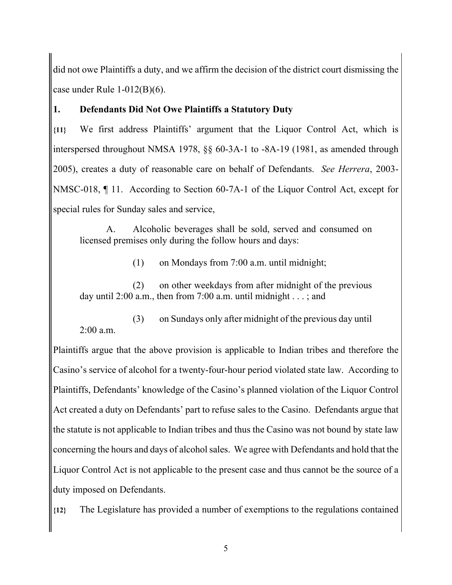did not owe Plaintiffs a duty, and we affirm the decision of the district court dismissing the case under Rule 1-012(B)(6).

## **1. Defendants Did Not Owe Plaintiffs a Statutory Duty**

**{11}** We first address Plaintiffs' argument that the Liquor Control Act, which is interspersed throughout NMSA 1978, §§ 60-3A-1 to -8A-19 (1981, as amended through 2005), creates a duty of reasonable care on behalf of Defendants. *See Herrera*, 2003- NMSC-018, ¶ 11. According to Section 60-7A-1 of the Liquor Control Act, except for special rules for Sunday sales and service,

A. Alcoholic beverages shall be sold, served and consumed on licensed premises only during the follow hours and days:

(1) on Mondays from 7:00 a.m. until midnight;

(2) on other weekdays from after midnight of the previous day until 2:00 a.m., then from 7:00 a.m. until midnight  $\dots$ ; and

(3) on Sundays only after midnight of the previous day until  $2:00a \text{ m}$ 

Plaintiffs argue that the above provision is applicable to Indian tribes and therefore the Casino's service of alcohol for a twenty-four-hour period violated state law. According to Plaintiffs, Defendants' knowledge of the Casino's planned violation of the Liquor Control Act created a duty on Defendants' part to refuse sales to the Casino. Defendants argue that the statute is not applicable to Indian tribes and thus the Casino was not bound by state law concerning the hours and days of alcohol sales. We agree with Defendants and hold that the Liquor Control Act is not applicable to the present case and thus cannot be the source of a duty imposed on Defendants.

**{12}** The Legislature has provided a number of exemptions to the regulations contained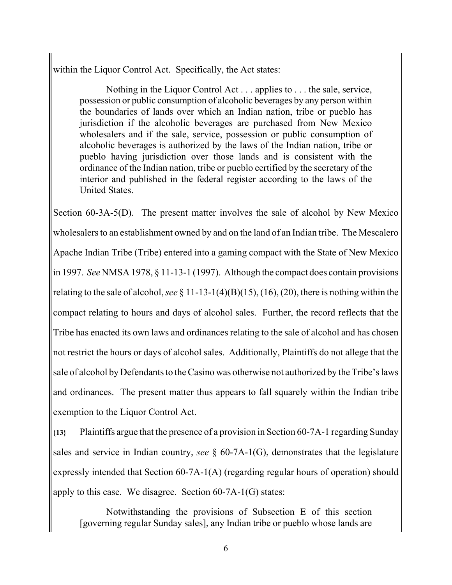within the Liquor Control Act. Specifically, the Act states:

Nothing in the Liquor Control Act . . . applies to . . . the sale, service, possession or public consumption of alcoholic beverages by any person within the boundaries of lands over which an Indian nation, tribe or pueblo has jurisdiction if the alcoholic beverages are purchased from New Mexico wholesalers and if the sale, service, possession or public consumption of alcoholic beverages is authorized by the laws of the Indian nation, tribe or pueblo having jurisdiction over those lands and is consistent with the ordinance of the Indian nation, tribe or pueblo certified by the secretary of the interior and published in the federal register according to the laws of the United States.

Section 60-3A-5(D). The present matter involves the sale of alcohol by New Mexico wholesalers to an establishment owned by and on the land of an Indian tribe. The Mescalero Apache Indian Tribe (Tribe) entered into a gaming compact with the State of New Mexico in 1997. *See* NMSA 1978, § 11-13-1 (1997). Although the compact does contain provisions relating to the sale of alcohol, *see* § 11-13-1(4)(B)(15), (16), (20), there is nothing within the compact relating to hours and days of alcohol sales. Further, the record reflects that the Tribe has enacted its own laws and ordinances relating to the sale of alcohol and has chosen not restrict the hours or days of alcohol sales. Additionally, Plaintiffs do not allege that the sale of alcohol by Defendants to the Casino was otherwise not authorized by the Tribe's laws and ordinances. The present matter thus appears to fall squarely within the Indian tribe exemption to the Liquor Control Act.

**{13}** Plaintiffs argue that the presence of a provision in Section 60-7A-1 regarding Sunday sales and service in Indian country, *see* § 60-7A-1(G), demonstrates that the legislature expressly intended that Section 60-7A-1(A) (regarding regular hours of operation) should apply to this case. We disagree. Section 60-7A-1(G) states:

Notwithstanding the provisions of Subsection E of this section [governing regular Sunday sales], any Indian tribe or pueblo whose lands are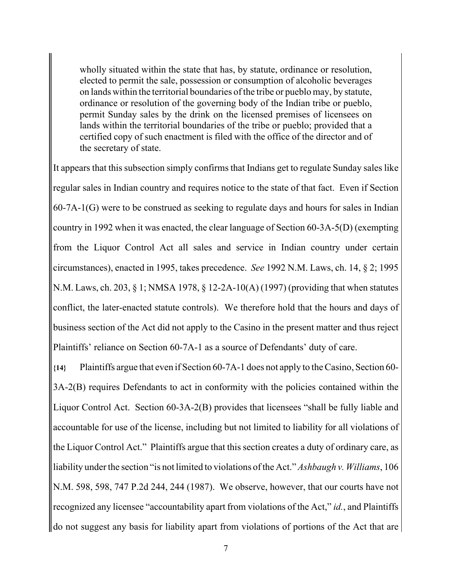wholly situated within the state that has, by statute, ordinance or resolution, elected to permit the sale, possession or consumption of alcoholic beverages on lands within the territorial boundaries of the tribe or pueblo may, by statute, ordinance or resolution of the governing body of the Indian tribe or pueblo, permit Sunday sales by the drink on the licensed premises of licensees on lands within the territorial boundaries of the tribe or pueblo; provided that a certified copy of such enactment is filed with the office of the director and of the secretary of state.

It appears that this subsection simply confirms that Indians get to regulate Sunday sales like regular sales in Indian country and requires notice to the state of that fact. Even if Section 60-7A-1(G) were to be construed as seeking to regulate days and hours for sales in Indian country in 1992 when it was enacted, the clear language of Section 60-3A-5(D) (exempting from the Liquor Control Act all sales and service in Indian country under certain circumstances), enacted in 1995, takes precedence. *See* 1992 N.M. Laws, ch. 14, § 2; 1995 N.M. Laws, ch. 203, § 1; NMSA 1978, § 12-2A-10(A) (1997) (providing that when statutes conflict, the later-enacted statute controls). We therefore hold that the hours and days of business section of the Act did not apply to the Casino in the present matter and thus reject Plaintiffs' reliance on Section 60-7A-1 as a source of Defendants' duty of care.

**{14}** Plaintiffs argue that even if Section 60-7A-1 does not apply to the Casino, Section 60- 3A-2(B) requires Defendants to act in conformity with the policies contained within the Liquor Control Act. Section 60-3A-2(B) provides that licensees "shall be fully liable and accountable for use of the license, including but not limited to liability for all violations of the Liquor Control Act." Plaintiffs argue that this section creates a duty of ordinary care, as liability under the section "is not limited to violations of the Act." *Ashbaugh v. Williams*, 106 N.M. 598, 598, 747 P.2d 244, 244 (1987). We observe, however, that our courts have not recognized any licensee "accountability apart from violations of the Act," *id.*, and Plaintiffs do not suggest any basis for liability apart from violations of portions of the Act that are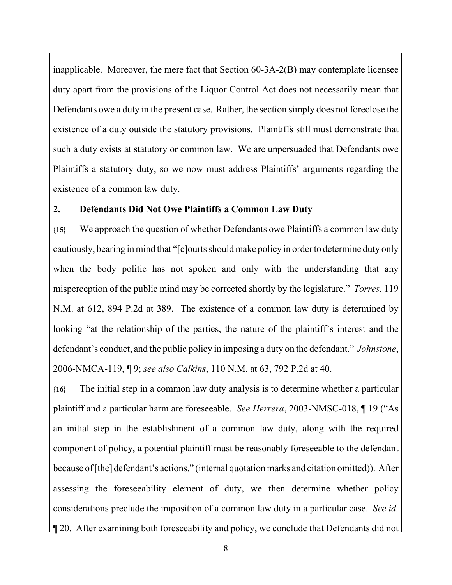inapplicable. Moreover, the mere fact that Section 60-3A-2(B) may contemplate licensee duty apart from the provisions of the Liquor Control Act does not necessarily mean that Defendants owe a duty in the present case. Rather, the section simply does not foreclose the existence of a duty outside the statutory provisions. Plaintiffs still must demonstrate that such a duty exists at statutory or common law. We are unpersuaded that Defendants owe Plaintiffs a statutory duty, so we now must address Plaintiffs' arguments regarding the existence of a common law duty.

### **2. Defendants Did Not Owe Plaintiffs a Common Law Duty**

**{15}** We approach the question of whether Defendants owe Plaintiffs a common law duty cautiously, bearing in mind that "[c]ourts should make policy in order to determine duty only when the body politic has not spoken and only with the understanding that any misperception of the public mind may be corrected shortly by the legislature." *Torres*, 119 N.M. at 612, 894 P.2d at 389. The existence of a common law duty is determined by looking "at the relationship of the parties, the nature of the plaintiff's interest and the defendant's conduct, and the public policy in imposing a duty on the defendant." *Johnstone*, 2006-NMCA-119, ¶ 9; *see also Calkins*, 110 N.M. at 63, 792 P.2d at 40.

**{16}** The initial step in a common law duty analysis is to determine whether a particular plaintiff and a particular harm are foreseeable. *See Herrera*, 2003-NMSC-018, ¶ 19 ("As an initial step in the establishment of a common law duty, along with the required component of policy, a potential plaintiff must be reasonably foreseeable to the defendant because of [the] defendant's actions." (internal quotation marks and citation omitted)). After assessing the foreseeability element of duty, we then determine whether policy considerations preclude the imposition of a common law duty in a particular case. *See id.*  $\parallel$  120. After examining both foreseeability and policy, we conclude that Defendants did not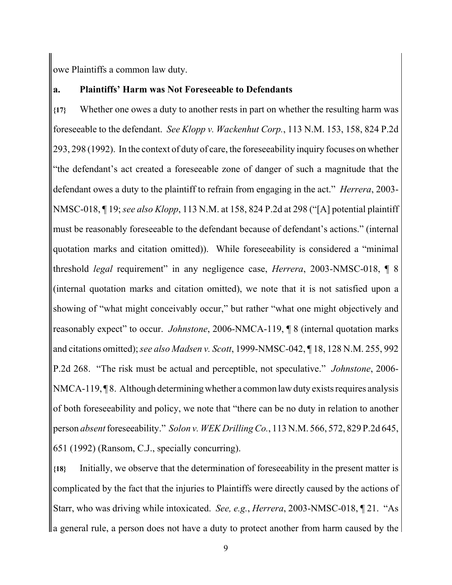owe Plaintiffs a common law duty.

#### **a. Plaintiffs' Harm was Not Foreseeable to Defendants**

**{17}** Whether one owes a duty to another rests in part on whether the resulting harm was foreseeable to the defendant. *See Klopp v. Wackenhut Corp.*, 113 N.M. 153, 158, 824 P.2d 293, 298 (1992). In the context of duty of care, the foreseeability inquiry focuses on whether "the defendant's act created a foreseeable zone of danger of such a magnitude that the defendant owes a duty to the plaintiff to refrain from engaging in the act." *Herrera*, 2003- NMSC-018, ¶ 19; *see also Klopp*, 113 N.M. at 158, 824 P.2d at 298 ("[A] potential plaintiff must be reasonably foreseeable to the defendant because of defendant's actions." (internal quotation marks and citation omitted)). While foreseeability is considered a "minimal threshold *legal* requirement" in any negligence case, *Herrera*, 2003-NMSC-018, ¶ 8 (internal quotation marks and citation omitted), we note that it is not satisfied upon a showing of "what might conceivably occur," but rather "what one might objectively and reasonably expect" to occur. *Johnstone*, 2006-NMCA-119, ¶ 8 (internal quotation marks and citations omitted); *see also Madsen v. Scott*, 1999-NMSC-042, ¶ 18, 128 N.M. 255, 992 P.2d 268. "The risk must be actual and perceptible, not speculative." *Johnstone*, 2006- NMCA-119, ¶ 8. Although determining whether a common law duty exists requires analysis of both foreseeability and policy, we note that "there can be no duty in relation to another person *absent* foreseeability." *Solon v. WEK Drilling Co.*, 113 N.M. 566, 572, 829 P.2d 645, 651 (1992) (Ransom, C.J., specially concurring).

**{18}** Initially, we observe that the determination of foreseeability in the present matter is complicated by the fact that the injuries to Plaintiffs were directly caused by the actions of Starr, who was driving while intoxicated. *See, e.g.*, *Herrera*, 2003-NMSC-018, ¶ 21. "As a general rule, a person does not have a duty to protect another from harm caused by the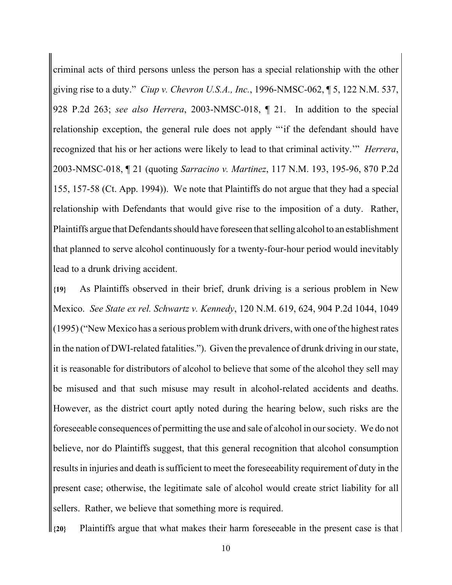criminal acts of third persons unless the person has a special relationship with the other giving rise to a duty." *Ciup v. Chevron U.S.A., Inc.*, 1996-NMSC-062, ¶ 5, 122 N.M. 537, 928 P.2d 263; *see also Herrera*, 2003-NMSC-018, ¶ 21. In addition to the special relationship exception, the general rule does not apply "'if the defendant should have recognized that his or her actions were likely to lead to that criminal activity.'" *Herrera*, 2003-NMSC-018, ¶ 21 (quoting *Sarracino v. Martinez*, 117 N.M. 193, 195-96, 870 P.2d 155, 157-58 (Ct. App. 1994)). We note that Plaintiffs do not argue that they had a special relationship with Defendants that would give rise to the imposition of a duty. Rather, Plaintiffs argue that Defendants should have foreseen that selling alcohol to an establishment that planned to serve alcohol continuously for a twenty-four-hour period would inevitably lead to a drunk driving accident.

**{19}** As Plaintiffs observed in their brief, drunk driving is a serious problem in New Mexico. *See State ex rel. Schwartz v. Kennedy*, 120 N.M. 619, 624, 904 P.2d 1044, 1049 (1995) ("New Mexico has a serious problem with drunk drivers, with one of the highest rates in the nation of DWI-related fatalities."). Given the prevalence of drunk driving in our state, it is reasonable for distributors of alcohol to believe that some of the alcohol they sell may be misused and that such misuse may result in alcohol-related accidents and deaths. However, as the district court aptly noted during the hearing below, such risks are the foreseeable consequences of permitting the use and sale of alcohol in our society. We do not believe, nor do Plaintiffs suggest, that this general recognition that alcohol consumption results in injuries and death is sufficient to meet the foreseeability requirement of duty in the present case; otherwise, the legitimate sale of alcohol would create strict liability for all sellers. Rather, we believe that something more is required.

**{20}** Plaintiffs argue that what makes their harm foreseeable in the present case is that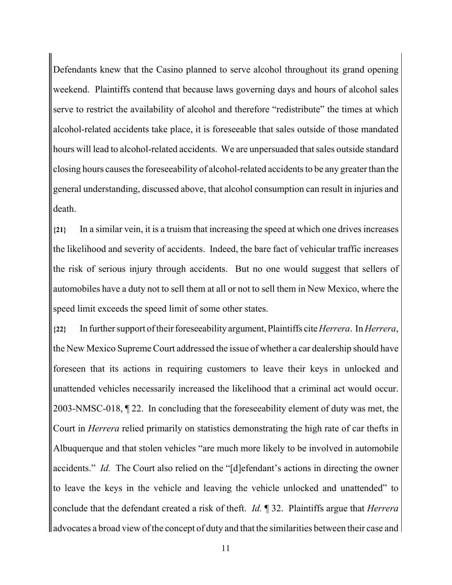Defendants knew that the Casino planned to serve alcohol throughout its grand opening weekend. Plaintiffs contend that because laws governing days and hours of alcohol sales serve to restrict the availability of alcohol and therefore "redistribute" the times at which alcohol-related accidents take place, it is foreseeable that sales outside of those mandated hours will lead to alcohol-related accidents. We are unpersuaded that sales outside standard closing hours causes the foreseeability of alcohol-related accidents to be any greater than the general understanding, discussed above, that alcohol consumption can result in injuries and death.

**{21}** In a similar vein, it is a truism that increasing the speed at which one drives increases the likelihood and severity of accidents. Indeed, the bare fact of vehicular traffic increases the risk of serious injury through accidents. But no one would suggest that sellers of automobiles have a duty not to sell them at all or not to sell them in New Mexico, where the speed limit exceeds the speed limit of some other states.

**{22}** In further support of their foreseeability argument, Plaintiffs cite *Herrera*. In *Herrera*, the New Mexico Supreme Court addressed the issue of whether a car dealership should have foreseen that its actions in requiring customers to leave their keys in unlocked and unattended vehicles necessarily increased the likelihood that a criminal act would occur. 2003-NMSC-018, ¶ 22. In concluding that the foreseeability element of duty was met, the Court in *Herrera* relied primarily on statistics demonstrating the high rate of car thefts in Albuquerque and that stolen vehicles "are much more likely to be involved in automobile accidents." *Id.* The Court also relied on the "[d]efendant's actions in directing the owner to leave the keys in the vehicle and leaving the vehicle unlocked and unattended" to conclude that the defendant created a risk of theft. *Id.* ¶ 32. Plaintiffs argue that *Herrera* advocates a broad view of the concept of duty and that the similarities between their case and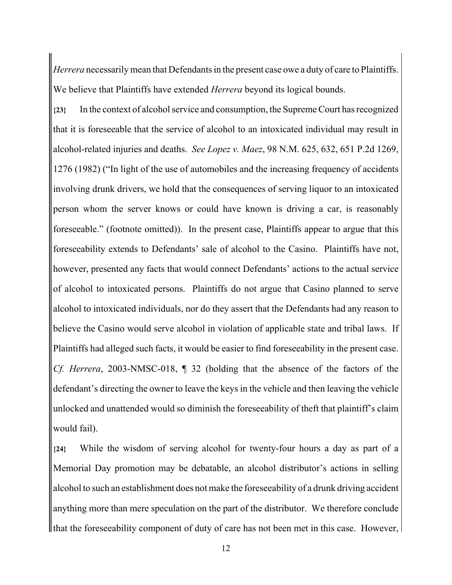*Herrera* necessarily mean that Defendants in the present case owe a duty of care to Plaintiffs. We believe that Plaintiffs have extended *Herrera* beyond its logical bounds.

**{23}** In the context of alcohol service and consumption, the Supreme Court has recognized that it is foreseeable that the service of alcohol to an intoxicated individual may result in alcohol-related injuries and deaths. *See Lopez v. Maez*, 98 N.M. 625, 632, 651 P.2d 1269, 1276 (1982) ("In light of the use of automobiles and the increasing frequency of accidents involving drunk drivers, we hold that the consequences of serving liquor to an intoxicated person whom the server knows or could have known is driving a car, is reasonably foreseeable." (footnote omitted)). In the present case, Plaintiffs appear to argue that this foreseeability extends to Defendants' sale of alcohol to the Casino. Plaintiffs have not, however, presented any facts that would connect Defendants' actions to the actual service of alcohol to intoxicated persons. Plaintiffs do not argue that Casino planned to serve alcohol to intoxicated individuals, nor do they assert that the Defendants had any reason to believe the Casino would serve alcohol in violation of applicable state and tribal laws. If Plaintiffs had alleged such facts, it would be easier to find foreseeability in the present case. *Cf. Herrera*, 2003-NMSC-018, ¶ 32 (holding that the absence of the factors of the defendant's directing the owner to leave the keys in the vehicle and then leaving the vehicle unlocked and unattended would so diminish the foreseeability of theft that plaintiff's claim would fail).

**{24}** While the wisdom of serving alcohol for twenty-four hours a day as part of a Memorial Day promotion may be debatable, an alcohol distributor's actions in selling alcohol to such an establishment does not make the foreseeability of a drunk driving accident anything more than mere speculation on the part of the distributor. We therefore conclude If that the foreseeability component of duty of care has not been met in this case. However,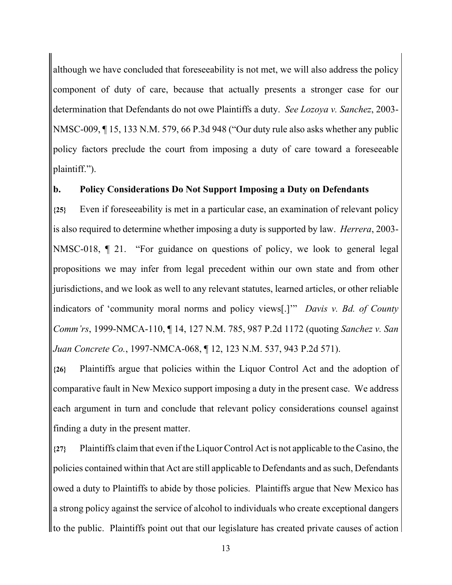although we have concluded that foreseeability is not met, we will also address the policy component of duty of care, because that actually presents a stronger case for our determination that Defendants do not owe Plaintiffs a duty. *See Lozoya v. Sanchez*, 2003- NMSC-009, ¶ 15, 133 N.M. 579, 66 P.3d 948 ("Our duty rule also asks whether any public policy factors preclude the court from imposing a duty of care toward a foreseeable plaintiff.").

### **b. Policy Considerations Do Not Support Imposing a Duty on Defendants**

**{25}** Even if foreseeability is met in a particular case, an examination of relevant policy is also required to determine whether imposing a duty is supported by law. *Herrera*, 2003- NMSC-018, ¶ 21. "For guidance on questions of policy, we look to general legal propositions we may infer from legal precedent within our own state and from other jurisdictions, and we look as well to any relevant statutes, learned articles, or other reliable indicators of 'community moral norms and policy views[.]'" *Davis v. Bd. of County Comm'rs*, 1999-NMCA-110, ¶ 14, 127 N.M. 785, 987 P.2d 1172 (quoting *Sanchez v. San Juan Concrete Co.*, 1997-NMCA-068, ¶ 12, 123 N.M. 537, 943 P.2d 571).

**{26}** Plaintiffs argue that policies within the Liquor Control Act and the adoption of comparative fault in New Mexico support imposing a duty in the present case. We address each argument in turn and conclude that relevant policy considerations counsel against finding a duty in the present matter.

**{27}** Plaintiffs claim that even if the Liquor Control Act is not applicable to the Casino, the policies contained within that Act are still applicable to Defendants and as such, Defendants owed a duty to Plaintiffs to abide by those policies. Plaintiffs argue that New Mexico has a strong policy against the service of alcohol to individuals who create exceptional dangers to the public. Plaintiffs point out that our legislature has created private causes of action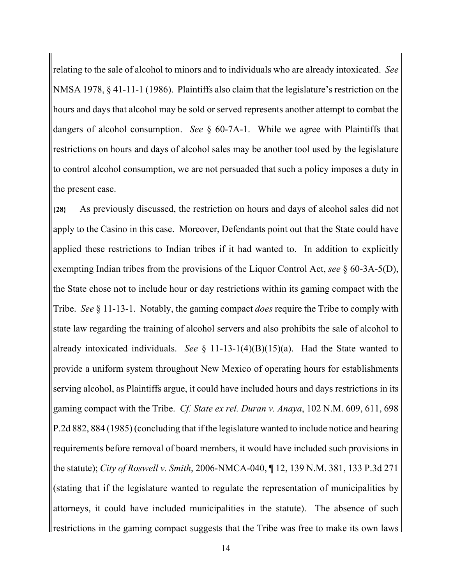relating to the sale of alcohol to minors and to individuals who are already intoxicated. *See* NMSA 1978, § 41-11-1 (1986). Plaintiffs also claim that the legislature's restriction on the hours and days that alcohol may be sold or served represents another attempt to combat the dangers of alcohol consumption. *See* § 60-7A-1. While we agree with Plaintiffs that restrictions on hours and days of alcohol sales may be another tool used by the legislature to control alcohol consumption, we are not persuaded that such a policy imposes a duty in the present case.

**{28}** As previously discussed, the restriction on hours and days of alcohol sales did not apply to the Casino in this case. Moreover, Defendants point out that the State could have applied these restrictions to Indian tribes if it had wanted to. In addition to explicitly exempting Indian tribes from the provisions of the Liquor Control Act, *see* § 60-3A-5(D), the State chose not to include hour or day restrictions within its gaming compact with the Tribe. *See* § 11-13-1. Notably, the gaming compact *does* require the Tribe to comply with state law regarding the training of alcohol servers and also prohibits the sale of alcohol to already intoxicated individuals. *See* § 11-13-1(4)(B)(15)(a). Had the State wanted to provide a uniform system throughout New Mexico of operating hours for establishments serving alcohol, as Plaintiffs argue, it could have included hours and days restrictions in its gaming compact with the Tribe. *Cf. State ex rel. Duran v. Anaya*, 102 N.M. 609, 611, 698 P.2d 882, 884 (1985) (concluding that if the legislature wanted to include notice and hearing requirements before removal of board members, it would have included such provisions in the statute); *City of Roswell v. Smith*, 2006-NMCA-040, ¶ 12, 139 N.M. 381, 133 P.3d 271 (stating that if the legislature wanted to regulate the representation of municipalities by attorneys, it could have included municipalities in the statute). The absence of such restrictions in the gaming compact suggests that the Tribe was free to make its own laws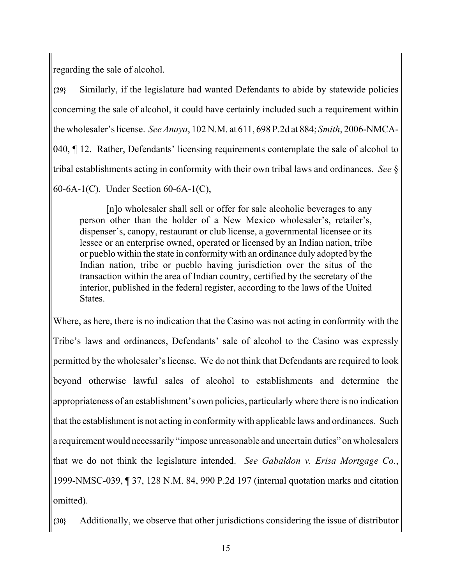regarding the sale of alcohol.

**{29}** Similarly, if the legislature had wanted Defendants to abide by statewide policies concerning the sale of alcohol, it could have certainly included such a requirement within the wholesaler's license. *See Anaya*, 102 N.M. at 611, 698 P.2d at 884; *Smith*, 2006-NMCA-040, ¶ 12. Rather, Defendants' licensing requirements contemplate the sale of alcohol to tribal establishments acting in conformity with their own tribal laws and ordinances. *See* § 60-6A-1(C). Under Section 60-6A-1(C),

[n]o wholesaler shall sell or offer for sale alcoholic beverages to any person other than the holder of a New Mexico wholesaler's, retailer's, dispenser's, canopy, restaurant or club license, a governmental licensee or its lessee or an enterprise owned, operated or licensed by an Indian nation, tribe or pueblo within the state in conformity with an ordinance duly adopted by the Indian nation, tribe or pueblo having jurisdiction over the situs of the transaction within the area of Indian country, certified by the secretary of the interior, published in the federal register, according to the laws of the United States.

Where, as here, there is no indication that the Casino was not acting in conformity with the Tribe's laws and ordinances, Defendants' sale of alcohol to the Casino was expressly permitted by the wholesaler's license. We do not think that Defendants are required to look beyond otherwise lawful sales of alcohol to establishments and determine the appropriateness of an establishment's own policies, particularly where there is no indication that the establishment is not acting in conformity with applicable laws and ordinances. Such a requirement would necessarily "impose unreasonable and uncertain duties" on wholesalers that we do not think the legislature intended. *See Gabaldon v. Erisa Mortgage Co.*, 1999-NMSC-039, ¶ 37, 128 N.M. 84, 990 P.2d 197 (internal quotation marks and citation omitted).

**{30}** Additionally, we observe that other jurisdictions considering the issue of distributor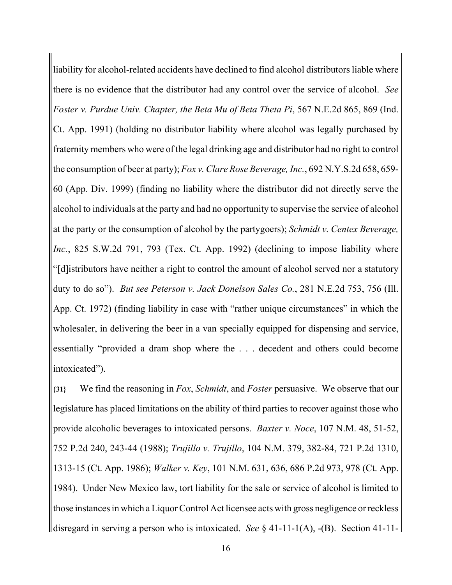liability for alcohol-related accidents have declined to find alcohol distributors liable where there is no evidence that the distributor had any control over the service of alcohol. *See Foster v. Purdue Univ. Chapter, the Beta Mu of Beta Theta Pi*, 567 N.E.2d 865, 869 (Ind. Ct. App. 1991) (holding no distributor liability where alcohol was legally purchased by fraternity members who were of the legal drinking age and distributor had no right to control the consumption of beer at party); *Fox v. Clare Rose Beverage, Inc.*, 692 N.Y.S.2d 658, 659- 60 (App. Div. 1999) (finding no liability where the distributor did not directly serve the alcohol to individuals at the party and had no opportunity to supervise the service of alcohol at the party or the consumption of alcohol by the partygoers); *Schmidt v. Centex Beverage, Inc.*, 825 S.W.2d 791, 793 (Tex. Ct. App. 1992) (declining to impose liability where "[d]istributors have neither a right to control the amount of alcohol served nor a statutory duty to do so"). *But see Peterson v. Jack Donelson Sales Co.*, 281 N.E.2d 753, 756 (Ill. App. Ct. 1972) (finding liability in case with "rather unique circumstances" in which the wholesaler, in delivering the beer in a van specially equipped for dispensing and service, essentially "provided a dram shop where the . . . decedent and others could become intoxicated").

**{31}** We find the reasoning in *Fox*, *Schmidt*, and *Foster* persuasive. We observe that our legislature has placed limitations on the ability of third parties to recover against those who provide alcoholic beverages to intoxicated persons. *Baxter v. Noce*, 107 N.M. 48, 51-52, 752 P.2d 240, 243-44 (1988); *Trujillo v. Trujillo*, 104 N.M. 379, 382-84, 721 P.2d 1310, 1313-15 (Ct. App. 1986); *Walker v. Key*, 101 N.M. 631, 636, 686 P.2d 973, 978 (Ct. App. 1984). Under New Mexico law, tort liability for the sale or service of alcohol is limited to those instances in which a Liquor Control Act licensee acts with gross negligence or reckless disregard in serving a person who is intoxicated. *See* § 41-11-1(A), -(B). Section 41-11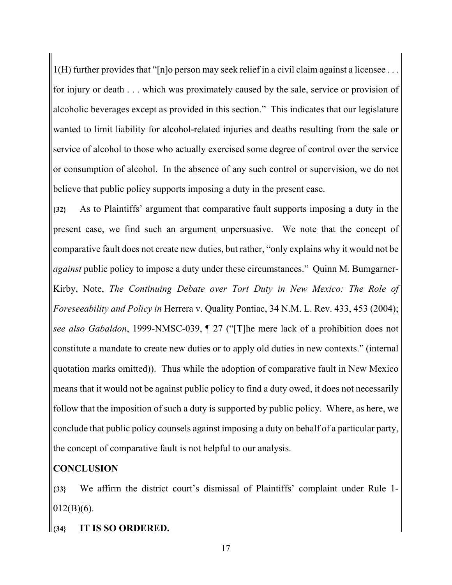1(H) further provides that "[n]o person may seek relief in a civil claim against a licensee . . . for injury or death . . . which was proximately caused by the sale, service or provision of alcoholic beverages except as provided in this section." This indicates that our legislature wanted to limit liability for alcohol-related injuries and deaths resulting from the sale or service of alcohol to those who actually exercised some degree of control over the service or consumption of alcohol. In the absence of any such control or supervision, we do not believe that public policy supports imposing a duty in the present case.

**{32}** As to Plaintiffs' argument that comparative fault supports imposing a duty in the present case, we find such an argument unpersuasive. We note that the concept of comparative fault does not create new duties, but rather, "only explains why it would not be *against* public policy to impose a duty under these circumstances." Quinn M. Bumgarner-Kirby, Note, *The Continuing Debate over Tort Duty in New Mexico: The Role of Foreseeability and Policy in* Herrera v. Quality Pontiac, 34 N.M. L. Rev. 433, 453 (2004); *see also Gabaldon*, 1999-NMSC-039, ¶ 27 ("[T]he mere lack of a prohibition does not constitute a mandate to create new duties or to apply old duties in new contexts." (internal quotation marks omitted)). Thus while the adoption of comparative fault in New Mexico means that it would not be against public policy to find a duty owed, it does not necessarily follow that the imposition of such a duty is supported by public policy. Where, as here, we conclude that public policy counsels against imposing a duty on behalf of a particular party, the concept of comparative fault is not helpful to our analysis.

# **CONCLUSION**

**{33}** We affirm the district court's dismissal of Plaintiffs' complaint under Rule 1-  $012(B)(6)$ .

**{34} IT IS SO ORDERED.**

17